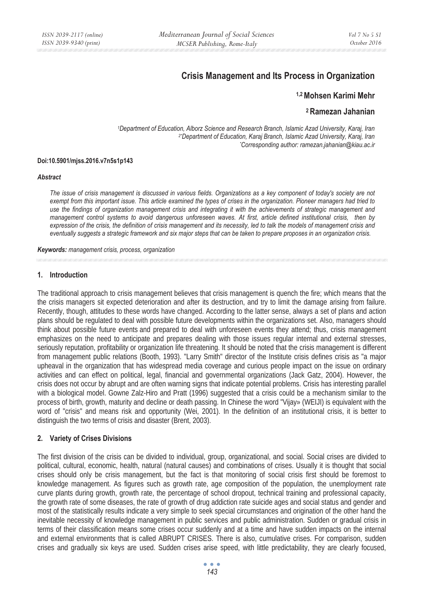# **Crisis Management and Its Process in Organization**

### **1,2 Mohsen Karimi Mehr**

## **2 Ramezan Jahanian**

*1Department of Education, Alborz Science and Research Branch, Islamic Azad University, Karaj, Iran 2\*Department of Education, Karaj Branch, Islamic Azad University, Karaj, Iran \* Corresponding author: ramezan.jahanian@kiau.ac.ir* 

#### **Doi:10.5901/mjss.2016.v7n5s1p143**

#### *Abstract*

*The issue of crisis management is discussed in various fields. Organizations as a key component of today's society are not exempt from this important issue. This article examined the types of crises in the organization. Pioneer managers had tried to use the findings of organization management crisis and integrating it with the achievements of strategic management and management control systems to avoid dangerous unforeseen waves. At first, article defined institutional crisis, then by expression of the crisis, the definition of crisis management and its necessity, led to talk the models of management crisis and eventually suggests a strategic framework and six major steps that can be taken to prepare proposes in an organization crisis.* 

*Keywords: management crisis, process, organization* 

### **1. Introduction**

The traditional approach to crisis management believes that crisis management is quench the fire; which means that the the crisis managers sit expected deterioration and after its destruction, and try to limit the damage arising from failure. Recently, though, attitudes to these words have changed. According to the latter sense, always a set of plans and action plans should be regulated to deal with possible future developments within the organizations set. Also, managers should think about possible future events and prepared to deal with unforeseen events they attend; thus, crisis management emphasizes on the need to anticipate and prepares dealing with those issues regular internal and external stresses, seriously reputation, profitability or organization life threatening. It should be noted that the crisis management is different from management public relations (Booth, 1993). "Larry Smith" director of the Institute crisis defines crisis as "a major upheaval in the organization that has widespread media coverage and curious people impact on the issue on ordinary activities and can effect on political, legal, financial and governmental organizations (Jack Gatz, 2004). However, the crisis does not occur by abrupt and are often warning signs that indicate potential problems. Crisis has interesting parallel with a biological model. Gowne Zalz-Hiro and Pratt (1996) suggested that a crisis could be a mechanism similar to the process of birth, growth, maturity and decline or death passing. In Chinese the word "Vijay» (WEIJI) is equivalent with the word of "crisis" and means risk and opportunity (Wei, 2001). In the definition of an institutional crisis, it is better to distinguish the two terms of crisis and disaster (Brent, 2003).

### **2. Variety of Crises Divisions**

The first division of the crisis can be divided to individual, group, organizational, and social. Social crises are divided to political, cultural, economic, health, natural (natural causes) and combinations of crises. Usually it is thought that social crises should only be crisis management, but the fact is that monitoring of social crisis first should be foremost to knowledge management. As figures such as growth rate, age composition of the population, the unemployment rate curve plants during growth, growth rate, the percentage of school dropout, technical training and professional capacity, the growth rate of some diseases, the rate of growth of drug addiction rate suicide ages and social status and gender and most of the statistically results indicate a very simple to seek special circumstances and origination of the other hand the inevitable necessity of knowledge management in public services and public administration. Sudden or gradual crisis in terms of their classification means some crises occur suddenly and at a time and have sudden impacts on the internal and external environments that is called ABRUPT CRISES. There is also, cumulative crises. For comparison, sudden crises and gradually six keys are used. Sudden crises arise speed, with little predictability, they are clearly focused,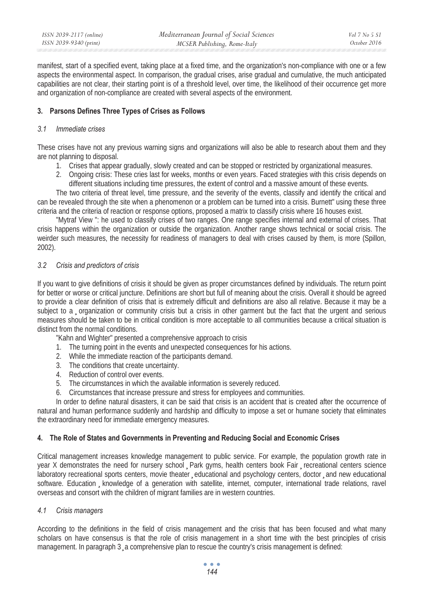manifest, start of a specified event, taking place at a fixed time, and the organization's non-compliance with one or a few aspects the environmental aspect. In comparison, the gradual crises, arise gradual and cumulative, the much anticipated capabilities are not clear, their starting point is of a threshold level, over time, the likelihood of their occurrence get more and organization of non-compliance are created with several aspects of the environment.

# **3. Parsons Defines Three Types of Crises as Follows**

### *3.1 Immediate crises*

These crises have not any previous warning signs and organizations will also be able to research about them and they are not planning to disposal.

- 1. Crises that appear gradually, slowly created and can be stopped or restricted by organizational measures.
- 2. Ongoing crisis: These cries last for weeks, months or even years. Faced strategies with this crisis depends on different situations including time pressures, the extent of control and a massive amount of these events.

The two criteria of threat level, time pressure, and the severity of the events, classify and identify the critical and can be revealed through the site when a phenomenon or a problem can be turned into a crisis. Burnett" using these three criteria and the criteria of reaction or response options, proposed a matrix to classify crisis where 16 houses exist.

"Mytraf View ": he used to classify crises of two ranges. One range specifies internal and external of crises. That crisis happens within the organization or outside the organization. Another range shows technical or social crisis. The weirder such measures, the necessity for readiness of managers to deal with crises caused by them, is more (Spillon, 2002).

### *3.2 Crisis and predictors of crisis*

If you want to give definitions of crisis it should be given as proper circumstances defined by individuals. The return point for better or worse or critical juncture. Definitions are short but full of meaning about the crisis. Overall it should be agreed to provide a clear definition of crisis that is extremely difficult and definitions are also all relative. Because it may be a subject to a organization or community crisis but a crisis in other garment but the fact that the urgent and serious measures should be taken to be in critical condition is more acceptable to all communities because a critical situation is distinct from the normal conditions.

"Kahn and Wighter" presented a comprehensive approach to crisis

- 1. The turning point in the events and unexpected consequences for his actions.
- 2. While the immediate reaction of the participants demand.
- 3. The conditions that create uncertainty.
- 4. Reduction of control over events.
- 5. The circumstances in which the available information is severely reduced.
- 6. Circumstances that increase pressure and stress for employees and communities.

In order to define natural disasters, it can be said that crisis is an accident that is created after the occurrence of natural and human performance suddenly and hardship and difficulty to impose a set or humane society that eliminates the extraordinary need for immediate emergency measures.

## **4. The Role of States and Governments in Preventing and Reducing Social and Economic Crises**

Critical management increases knowledge management to public service. For example, the population growth rate in year X demonstrates the need for nursery school Park gyms, health centers book Fair recreational centers science laboratory recreational sports centers, movie theater educational and psychology centers, doctor and new educational software. Education knowledge of a generation with satellite, internet, computer, international trade relations, ravel overseas and consort with the children of migrant families are in western countries.

## *4.1 Crisis managers*

According to the definitions in the field of crisis management and the crisis that has been focused and what many scholars on have consensus is that the role of crisis management in a short time with the best principles of crisis management. In paragraph 3, a comprehensive plan to rescue the country's crisis management is defined: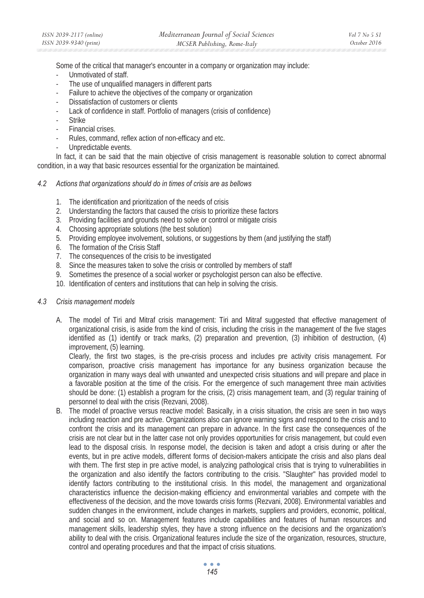Some of the critical that manager's encounter in a company or organization may include:

- Unmotivated of staff.
- The use of unqualified managers in different parts
- Failure to achieve the objectives of the company or organization
- Dissatisfaction of customers or clients
- Lack of confidence in staff. Portfolio of managers (crisis of confidence)
- **Strike**
- Financial crises.
- Rules, command, reflex action of non-efficacy and etc.
- Unpredictable events.

In fact, it can be said that the main objective of crisis management is reasonable solution to correct abnormal condition, in a way that basic resources essential for the organization be maintained.

### *4.2 Actions that organizations should do in times of crisis are as bellows*

- 1. The identification and prioritization of the needs of crisis
- 2. Understanding the factors that caused the crisis to prioritize these factors
- 3. Providing facilities and grounds need to solve or control or mitigate crisis
- 4. Choosing appropriate solutions (the best solution)
- 5. Providing employee involvement, solutions, or suggestions by them (and justifying the staff)
- 6. The formation of the Crisis Staff
- 7. The consequences of the crisis to be investigated
- 8. Since the measures taken to solve the crisis or controlled by members of staff
- 9. Sometimes the presence of a social worker or psychologist person can also be effective.
- 10. Identification of centers and institutions that can help in solving the crisis.

### *4.3 Crisis management models*

A. The model of Tiri and Mitraf crisis management: Tiri and Mitraf suggested that effective management of organizational crisis, is aside from the kind of crisis, including the crisis in the management of the five stages identified as (1) identify or track marks, (2) preparation and prevention, (3) inhibition of destruction, (4) improvement, (5) learning.

Clearly, the first two stages, is the pre-crisis process and includes pre activity crisis management. For comparison, proactive crisis management has importance for any business organization because the organization in many ways deal with unwanted and unexpected crisis situations and will prepare and place in a favorable position at the time of the crisis. For the emergence of such management three main activities should be done: (1) establish a program for the crisis, (2) crisis management team, and (3) regular training of personnel to deal with the crisis (Rezvani, 2008).

B. The model of proactive versus reactive model: Basically, in a crisis situation, the crisis are seen in two ways including reaction and pre active. Organizations also can ignore warning signs and respond to the crisis and to confront the crisis and its management can prepare in advance. In the first case the consequences of the crisis are not clear but in the latter case not only provides opportunities for crisis management, but could even lead to the disposal crisis. In response model, the decision is taken and adopt a crisis during or after the events, but in pre active models, different forms of decision-makers anticipate the crisis and also plans deal with them. The first step in pre active model, is analyzing pathological crisis that is trying to vulnerabilities in the organization and also identify the factors contributing to the crisis. "Slaughter" has provided model to identify factors contributing to the institutional crisis. In this model, the management and organizational characteristics influence the decision-making efficiency and environmental variables and compete with the effectiveness of the decision, and the move towards crisis forms (Rezvani, 2008). Environmental variables and sudden changes in the environment, include changes in markets, suppliers and providers, economic, political, and social and so on. Management features include capabilities and features of human resources and management skills, leadership styles, they have a strong influence on the decisions and the organization's ability to deal with the crisis. Organizational features include the size of the organization, resources, structure, control and operating procedures and that the impact of crisis situations.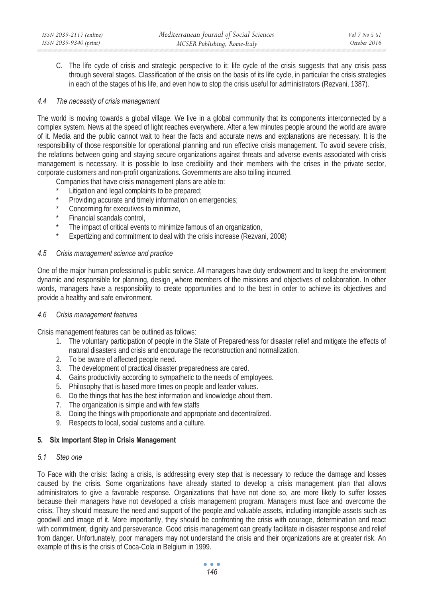C. The life cycle of crisis and strategic perspective to it: life cycle of the crisis suggests that any crisis pass through several stages. Classification of the crisis on the basis of its life cycle, in particular the crisis strategies in each of the stages of his life, and even how to stop the crisis useful for administrators (Rezvani, 1387).

### *4.4 The necessity of crisis management*

The world is moving towards a global village. We live in a global community that its components interconnected by a complex system. News at the speed of light reaches everywhere. After a few minutes people around the world are aware of it. Media and the public cannot wait to hear the facts and accurate news and explanations are necessary. It is the responsibility of those responsible for operational planning and run effective crisis management. To avoid severe crisis, the relations between going and staying secure organizations against threats and adverse events associated with crisis management is necessary. It is possible to lose credibility and their members with the crises in the private sector, corporate customers and non-profit organizations. Governments are also toiling incurred.

Companies that have crisis management plans are able to:

- Litigation and legal complaints to be prepared;
- Providing accurate and timely information on emergencies;
- Concerning for executives to minimize,
- Financial scandals control,
- The impact of critical events to minimize famous of an organization,
- Expertizing and commitment to deal with the crisis increase (Rezvani, 2008)

### *4.5 Crisis management science and practice*

One of the major human professional is public service. All managers have duty endowment and to keep the environment dynamic and responsible for planning, design where members of the missions and objectives of collaboration. In other words, managers have a responsibility to create opportunities and to the best in order to achieve its objectives and provide a healthy and safe environment.

### *4.6 Crisis management features*

Crisis management features can be outlined as follows:

- 1. The voluntary participation of people in the State of Preparedness for disaster relief and mitigate the effects of natural disasters and crisis and encourage the reconstruction and normalization.
- 2. To be aware of affected people need.
- 3. The development of practical disaster preparedness are cared.
- 4. Gains productivity according to sympathetic to the needs of employees.
- 5. Philosophy that is based more times on people and leader values.
- 6. Do the things that has the best information and knowledge about them.
- 7. The organization is simple and with few staffs
- 8. Doing the things with proportionate and appropriate and decentralized.
- 9. Respects to local, social customs and a culture.

### **5. Six Important Step in Crisis Management**

### *5.1 Step one*

To Face with the crisis: facing a crisis, is addressing every step that is necessary to reduce the damage and losses caused by the crisis. Some organizations have already started to develop a crisis management plan that allows administrators to give a favorable response. Organizations that have not done so, are more likely to suffer losses because their managers have not developed a crisis management program. Managers must face and overcome the crisis. They should measure the need and support of the people and valuable assets, including intangible assets such as goodwill and image of it. More importantly, they should be confronting the crisis with courage, determination and react with commitment, dignity and perseverance. Good crisis management can greatly facilitate in disaster response and relief from danger. Unfortunately, poor managers may not understand the crisis and their organizations are at greater risk. An example of this is the crisis of Coca-Cola in Belgium in 1999.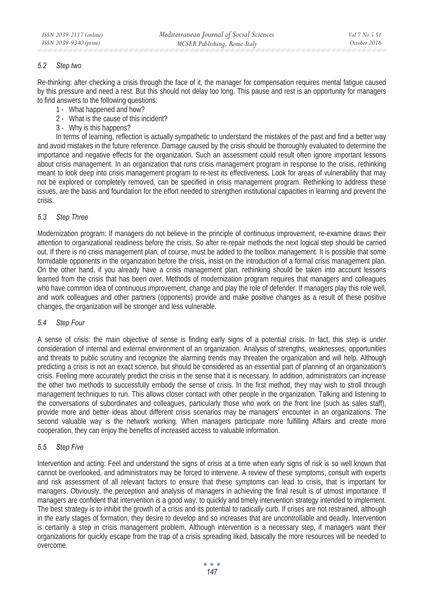### *5.2 Step two*

Re-thinking: after checking a crisis through the face of it, the manager for compensation requires mental fatigue caused by this pressure and need a rest. But this should not delay too long. This pause and rest is an opportunity for managers to find answers to the following questions:

- 1 What happened and how?
- 2 What is the cause of this incident?
- 3 Why is this happens?

In terms of learning, reflection is actually sympathetic to understand the mistakes of the past and find a better way and avoid mistakes in the future reference. Damage caused by the crisis should be thoroughly evaluated to determine the importance and negative effects for the organization. Such an assessment could result often ignore important lessons about crisis management. In an organization that runs crisis management program in response to the crisis, rethinking meant to look deep into crisis management program to re-test its effectiveness. Look for areas of vulnerability that may not be explored or completely removed, can be specified in crisis management program. Rethinking to address these issues, are the basis and foundation for the effort needed to strengthen institutional capacities in learning and prevent the crisis.

### *5.3 Step Three*

Modernization program: If managers do not believe in the principle of continuous improvement, re-examine draws their attention to organizational readiness before the crisis. So after re-repair methods the next logical step should be carried out. If there is no crisis management plan, of course, must be added to the toolbox management. It is possible that some formidable opponents in the organization before the crisis, insist on the introduction of a formal crisis management plan. On the other hand, if you already have a crisis management plan, rethinking should be taken into account lessons learned from the crisis that has been over. Methods of modernization program requires that managers and colleagues who have common idea of continuous improvement, change and play the role of defender. If managers play this role well, and work colleagues and other partners (opponents) provide and make positive changes as a result of these positive changes, the organization will be stronger and less vulnerable.

### *5.4 Step Four*

A sense of crisis: the main objective of sense is finding early signs of a potential crisis. In fact, this step is under consideration of internal and external environment of an organization. Analysis of strengths, weaknesses, opportunities and threats to public scrutiny and recognize the alarming trends may threaten the organization and will help. Although predicting a crisis is not an exact science, but should be considered as an essential part of planning of an organization's crisis. Feeling more accurately predict the crisis in the sense that it is necessary. In addition, administrators can increase the other two methods to successfully embody the sense of crisis. In the first method, they may wish to stroll through management techniques to run. This allows closer contact with other people in the organization. Talking and listening to the conversations of subordinates and colleagues, particularly those who work on the front line (such as sales staff), provide more and better ideas about different crisis scenarios may be managers' encounter in an organizations. The second valuable way is the network working. When managers participate more fulfilling Affairs and create more cooperation, they can enjoy the benefits of increased access to valuable information.

### *5.5 Step Five*

Intervention and acting: Feel and understand the signs of crisis at a time when early signs of risk is so well known that cannot be overlooked, and administrators may be forced to intervene. A review of these symptoms, consult with experts and risk assessment of all relevant factors to ensure that these symptoms can lead to crisis, that is important for managers. Obviously, the perception and analysis of managers in achieving the final result is of utmost importance. If managers are confident that intervention is a good way, to quickly and timely intervention strategy intended to implement. The best strategy is to inhibit the growth of a crisis and its potential to radically curb. If crises are not restrained, although in the early stages of formation, they desire to develop and so increases that are uncontrollable and deadly. Intervention is certainly a step in crisis management problem. Although intervention is a necessary step, if managers want their organizations for quickly escape from the trap of a crisis spreading liked, basically the more resources will be needed to overcome.